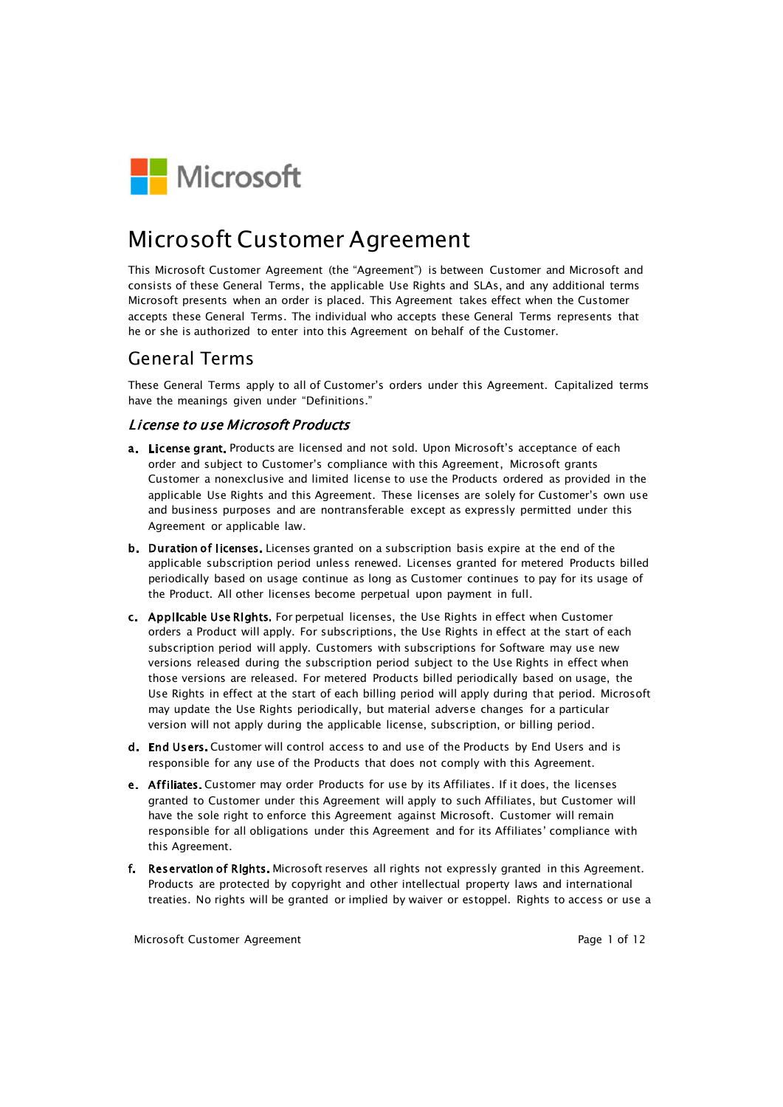

# Microsoft Customer Agreement

This Microsoft Customer Agreement (the "Agreement") is between Customer and Microsoft and consists of these General Terms, the applicable Use Rights and SLAs, and any additional terms Microsoft presents when an order is placed. This Agreement takes effect when the Customer accepts these General Terms. The individual who accepts these General Terms represents that he or she is authorized to enter into this Agreement on behalf of the Customer.

## General Terms

These General Terms apply to all of Customer's orders under this Agreement. Capitalized terms have the meanings given under "Definitions."

#### **License to use Microsoft Products**

- a. License grant. Products are licensed and not sold. Upon Microsoft's acceptance of each order and subject to Customer's compliance with this Agreement, Microsoft grants Customer a nonexclusive and limited license to use the Products ordered as provided in the applicable Use Rights and this Agreement. These licenses are solely for Customer's own use and business purposes and are nontransferable except as expressly permitted under this Agreement or applicable law.
- b. Duration of licenses. Licenses granted on a subscription basis expire at the end of the applicable subscription period unless renewed. Licenses granted for metered Products billed periodically based on usage continue as long as Customer continues to pay for its usage of the Product. All other licenses become perpetual upon payment in full.
- c. Applicable Use Rights. For perpetual licenses, the Use Rights in effect when Customer orders a Product will apply. For subscriptions, the Use Rights in effect at the start of each subscription period will apply. Customers with subscriptions for Software may use new versions released during the subscription period subject to the Use Rights in effect when those versions are released. For metered Products billed periodically based on usage, the Use Rights in effect at the start of each billing period will apply during that period. Microsoft may update the Use Rights periodically, but material adverse changes for a particular version will not apply during the applicable license, subscription, or billing period.
- d. End Users. Customer will control access to and use of the Products by End Users and is responsible for any use of the Products that does not comply with this Agreement.
- e. Affiliates. Customer may order Products for use by its Affiliates. If it does, the licenses granted to Customer under this Agreement will apply to such Affiliates, but Customer will have the sole right to enforce this Agreement against Microsoft. Customer will remain responsible for all obligations under this Agreement and for its Affiliates' compliance with this Agreement.
- f. Reservation of Rights. Microsoft reserves all rights not expressly granted in this Agreement. Products are protected by copyright and other intellectual property laws and international treaties. No rights will be granted or implied by waiver or estoppel. Rights to access or use a

Microsoft Customer Agreement **Page 1 of 12** and 2 and 2 and 2 and 2 and 2 and 2 and 2 and 2 and 2 and 2 and 2 and 2 and 2 and 2 and 2 and 2 and 2 and 2 and 2 and 2 and 2 and 2 and 2 and 2 and 2 and 2 and 2 and 2 and 2 and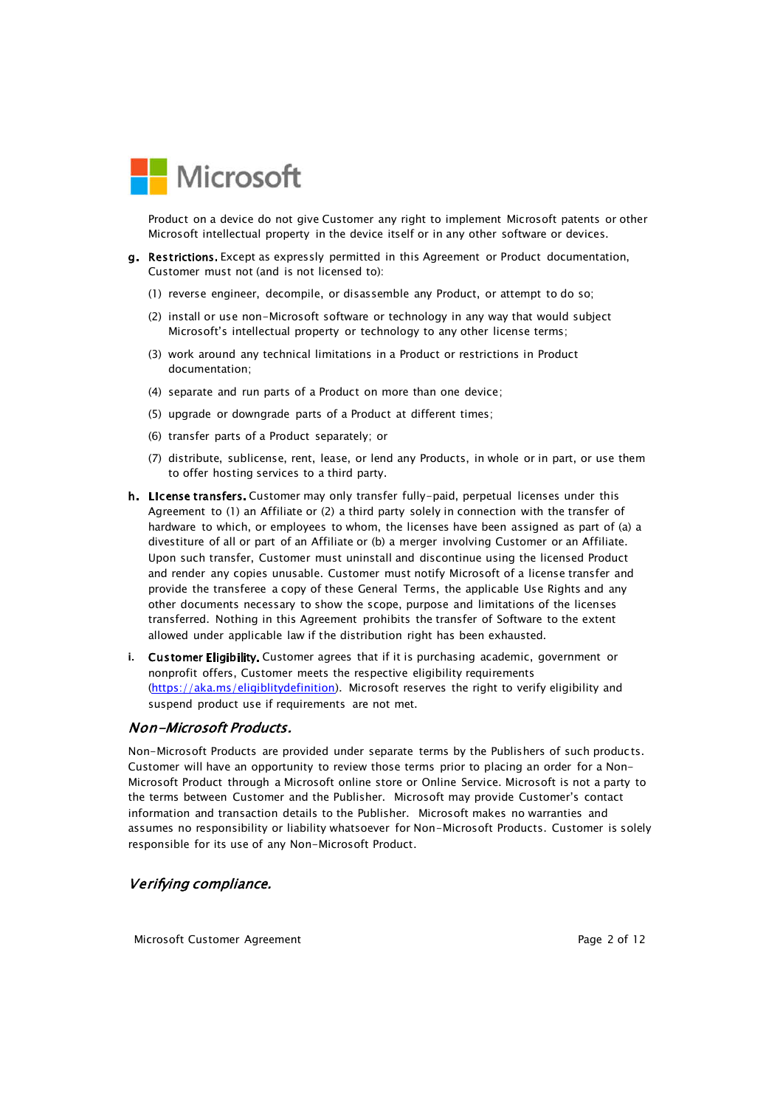

Product on a device do not give Customer any right to implement Microsoft patents or other Microsoft intellectual property in the device itself or in any other software or devices.

- g. Restrictions. Except as expressly permitted in this Agreement or Product documentation, Customer must not (and is not licensed to):
	- (1) reverse engineer, decompile, or disassemble any Product, or attempt to do so;
	- (2) install or use non-Microsoft software or technology in any way that would subject Microsoft's intellectual property or technology to any other license terms;
	- (3) work around any technical limitations in a Product or restrictions in Product documentation;
	- (4) separate and run parts of a Product on more than one device;
	- (5) upgrade or downgrade parts of a Product at different times;
	- (6) transfer parts of a Product separately; or
	- (7) distribute, sublicense, rent, lease, or lend any Products, in whole or in part, or use them to offer hosting services to a third party.
- h. License transfers. Customer may only transfer fully-paid, perpetual licenses under this Agreement to (1) an Affiliate or (2) a third party solely in connection with the transfer of hardware to which, or employees to whom, the licenses have been assigned as part of (a) a divestiture of all or part of an Affiliate or (b) a merger involving Customer or an Affiliate. Upon such transfer, Customer must uninstall and discontinue using the licensed Product and render any copies unusable. Customer must notify Microsoft of a license transfer and provide the transferee a copy of these General Terms, the applicable Use Rights and any other documents necessary to show the scope, purpose and limitations of the licenses transferred. Nothing in this Agreement prohibits the transfer of Software to the extent allowed under applicable law if the distribution right has been exhausted.
- i. Customer Eligibility. Customer agrees that if it is purchasing academic, government or nonprofit offers, Customer meets the respective eligibility requirements (https://aka.ms/eligiblitydefinition). Microsoft reserves the right to verify eligibility and suspend product use if requirements are not met.

## Non-Microsoft Products.

Non-Microsoft Products are provided under separate terms by the Publishers of such products. Customer will have an opportunity to review those terms prior to placing an order for a Non-Microsoft Product through a Microsoft online store or Online Service. Microsoft is not a party to the terms between Customer and the Publisher. Microsoft may provide Customer's contact information and transaction details to the Publisher. Microsoft makes no warranties and assumes no responsibility or liability whatsoever for Non-Microsoft Products. Customer is solely responsible for its use of any Non-Microsoft Product.

## Verifying compliance.

Microsoft Customer Agreement **Page 2 of 12** and Page 2 of 12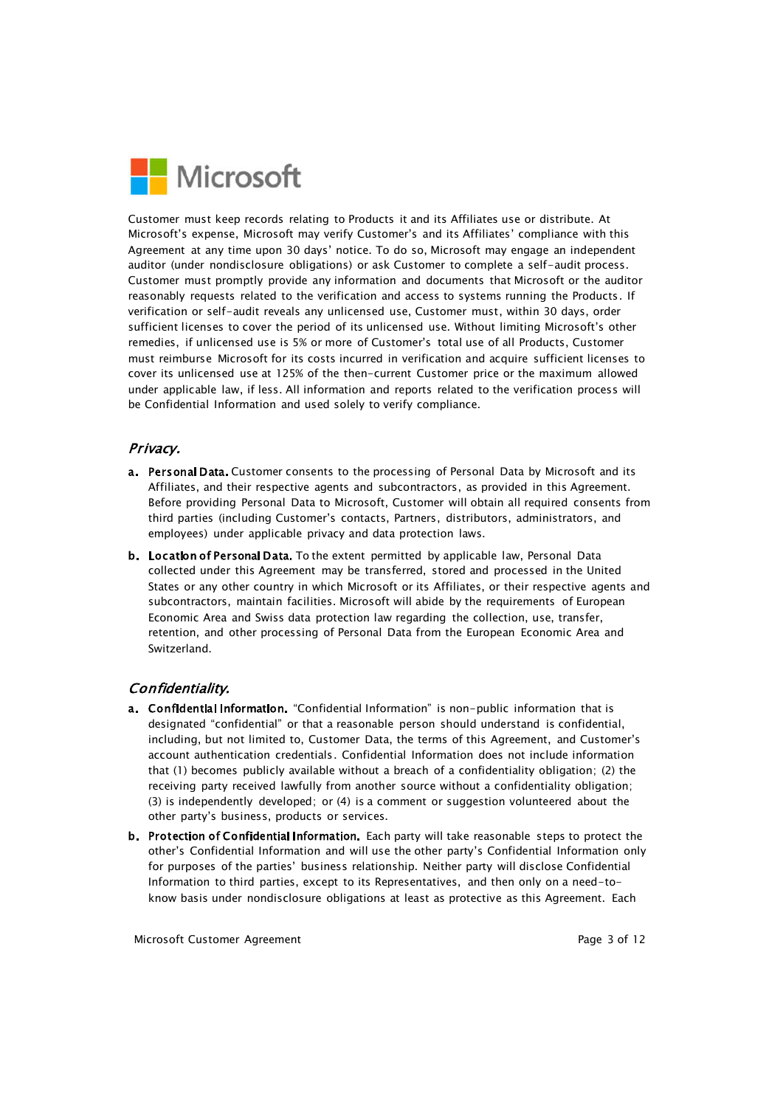

Customer must keep records relating to Products it and its Affiliates use or distribute. At Microsoft's expense, Microsoft may verify Customer's and its Affiliates' compliance with this Agreement at any time upon 30 days' notice. To do so, Microsoft may engage an independent auditor (under nondisclosure obligations) or ask Customer to complete a self-audit process. Customer must promptly provide any information and documents that Microsoft or the auditor reasonably requests related to the verification and access to systems running the Products. If verification or self-audit reveals any unlicensed use, Customer must, within 30 days, order sufficient licenses to cover the period of its unlicensed use. Without limiting Microsoft's other remedies, if unlicensed use is 5% or more of Customer's total use of all Products, Customer must reimburse Microsoft for its costs incurred in verification and acquire sufficient licenses to cover its unlicensed use at 125% of the then-current Customer price or the maximum allowed under applicable law, if less. All information and reports related to the verification process will be Confidential Information and used solely to verify compliance.

## Privacy.

- a. Personal Data. Customer consents to the processing of Personal Data by Microsoft and its Affiliates, and their respective agents and subcontractors, as provided in this Agreement. Before providing Personal Data to Microsoft, Customer will obtain all required consents from third parties (including Customer's contacts, Partners, distributors, administrators, and employees) under applicable privacy and data protection laws.
- b. Location of Personal Data. To the extent permitted by applicable law, Personal Data collected under this Agreement may be transferred, stored and processed in the United States or any other country in which Microsoft or its Affiliates, or their respective agents and subcontractors, maintain facilities. Microsoft will abide by the requirements of European Economic Area and Swiss data protection law regarding the collection, use, transfer, retention, and other processing of Personal Data from the European Economic Area and Switzerland.

## Confidentiality.

- a. Confidential Information. "Confidential Information" is non-public information that is designated "confidential" or that a reasonable person should understand is confidential, including, but not limited to, Customer Data, the terms of this Agreement, and Customer's account authentication credentials. Confidential Information does not include information that (1) becomes publicly available without a breach of a confidentiality obligation; (2) the receiving party received lawfully from another source without a confidentiality obligation; (3) is independently developed; or (4) is a comment or suggestion volunteered about the other party's business, products or services.
- b. Protection of Confidential Information. Each party will take reasonable steps to protect the other's Confidential Information and will use the other party's Confidential Information only for purposes of the parties' business relationship. Neither party will disclose Confidential Information to third parties, except to its Representatives, and then only on a need-toknow basis under nondisclosure obligations at least as protective as this Agreement. Each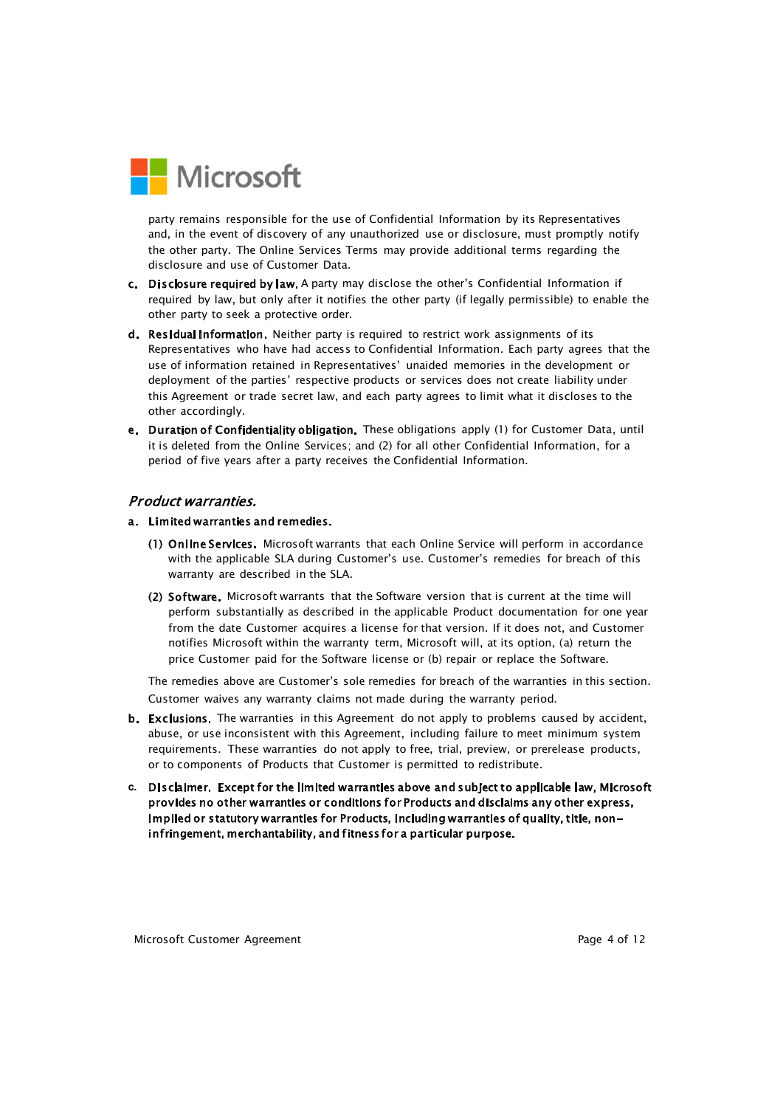

party remains responsible for the use of Confidential Information by its Representatives and, in the event of discovery of any unauthorized use or disclosure, must promptly notify the other party. The Online Services Terms may provide additional terms regarding the disclosure and use of Customer Data.

- c. Disclosure required by law. A party may disclose the other's Confidential Information if required by law, but only after it notifies the other party (if legally permissible) to enable the other party to seek a protective order.
- d. Residual information. Neither party is required to restrict work assignments of its Representatives who have had access to Confidential Information. Each party agrees that the use of information retained in Representatives' unaided memories in the development or deployment of the parties' respective products or services does not create liability under this Agreement or trade secret law, and each party agrees to limit what it discloses to the other accordingly.
- e. Duration of Confidentiality obligation. These obligations apply (1) for Customer Data, until it is deleted from the Online Services; and (2) for all other Confidential Information, for a period of five years after a party receives the Confidential Information.

#### **Product warranties.**

#### a. Limited warranties and remedies.

- (1) Online Services. Microsoft warrants that each Online Service will perform in accordance with the applicable SLA during Customer's use. Customer's remedies for breach of this warranty are described in the SLA.
- (2) Software. Microsoft warrants that the Software version that is current at the time will perform substantially as described in the applicable Product documentation for one year from the date Customer acquires a license for that version. If it does not, and Customer notifies Microsoft within the warranty term, Microsoft will, at its option, (a) return the price Customer paid for the Software license or (b) repair or replace the Software.

The remedies above are Customer's sole remedies for breach of the warranties in this section. Customer waives any warranty claims not made during the warranty period.

- b. Exclusions. The warranties in this Agreement do not apply to problems caused by accident, abuse, or use inconsistent with this Agreement, including failure to meet minimum system requirements. These warranties do not apply to free, trial, preview, or prerelease products, or to components of Products that Customer is permitted to redistribute.
- c. Disclaimer. Except for the limited warranties above and subject to applicable law, Microsoft provides no other warranties or conditions for Products and disclaims any other express, implied or statutory warranties for Products, including warranties of quality, title, noninfringement, merchantability, and fitness for a particular purpose.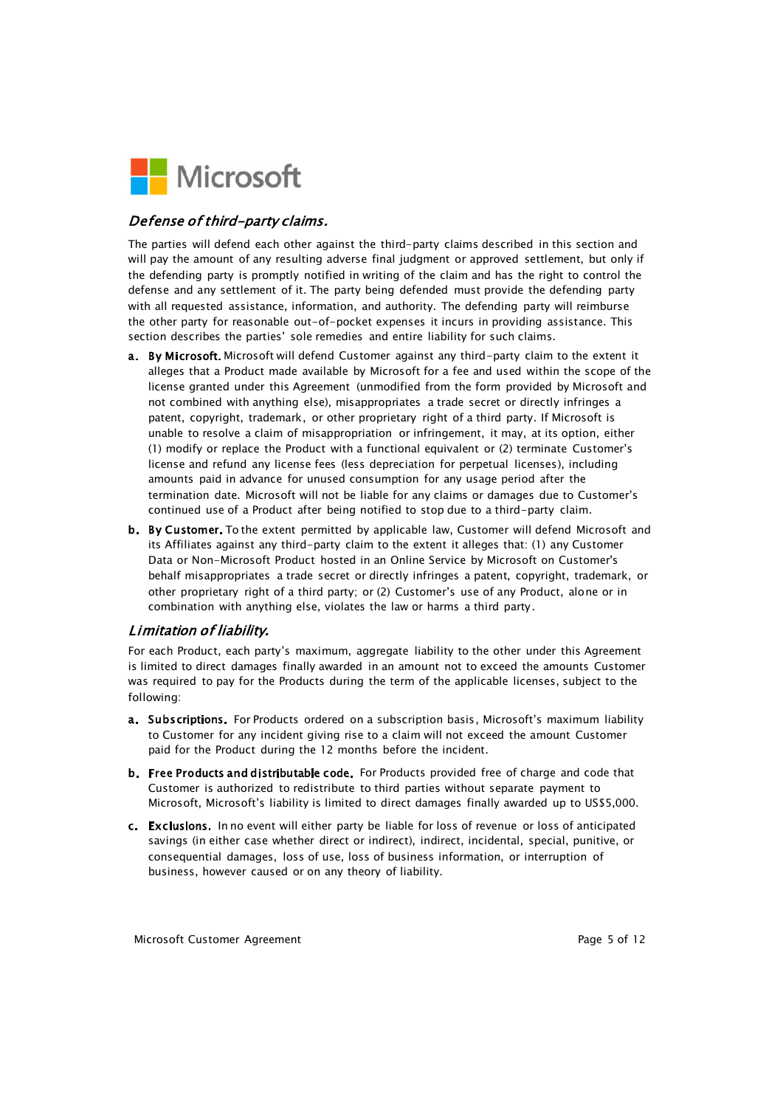

## Defense of third-party claims.

The parties will defend each other against the third-party claims described in this section and will pay the amount of any resulting adverse final judgment or approved settlement, but only if the defending party is promptly notified in writing of the claim and has the right to control the defense and any settlement of it. The party being defended must provide the defending party with all requested assistance, information, and authority. The defending party will reimburse the other party for reasonable out-of-pocket expenses it incurs in providing assistance. This section describes the parties' sole remedies and entire liability for such claims.

- a. By Microsoft. Microsoft will defend Customer against any third-party claim to the extent it alleges that a Product made available by Microsoft for a fee and used within the scope of the license granted under this Agreement (unmodified from the form provided by Microsoft and not combined with anything else), misappropriates a trade secret or directly infringes a patent, copyright, trademark, or other proprietary right of a third party. If Microsoft is unable to resolve a claim of misappropriation or infringement, it may, at its option, either (1) modify or replace the Product with a functional equivalent or (2) terminate Customer's license and refund any license fees (less depreciation for perpetual licenses), including amounts paid in advance for unused consumption for any usage period after the termination date. Microsoft will not be liable for any claims or damages due to Customer's continued use of a Product after being notified to stop due to a third-party claim.
- b. By Customer. To the extent permitted by applicable law, Customer will defend Microsoft and its Affiliates against any third-party claim to the extent it alleges that: (1) any Customer Data or Non-Microsoft Product hosted in an Online Service by Microsoft on Customer's behalf misappropriates a trade secret or directly infringes a patent, copyright, trademark, or other proprietary right of a third party; or (2) Customer's use of any Product, alone or in combination with anything else, violates the law or harms a third party.

## Limitation of liability.

For each Product, each party's maximum, aggregate liability to the other under this Agreement is limited to direct damages finally awarded in an amount not to exceed the amounts Customer was required to pay for the Products during the term of the applicable licenses, subject to the following:

- a. Subscriptions. For Products ordered on a subscription basis, Microsoft's maximum liability to Customer for any incident giving rise to a claim will not exceed the amount Customer paid for the Product during the 12 months before the incident.
- b. Free Products and distributable code. For Products provided free of charge and code that Customer is authorized to redistribute to third parties without separate payment to Microsoft, Microsoft's liability is limited to direct damages finally awarded up to US\$5,000.
- c. Exclusions. In no event will either party be liable for loss of revenue or loss of anticipated savings (in either case whether direct or indirect), indirect, incidental, special, punitive, or consequential damages, loss of use, loss of business information, or interruption of business, however caused or on any theory of liability.

Microsoft Customer Agreement **Page 12** and Page 5 of 12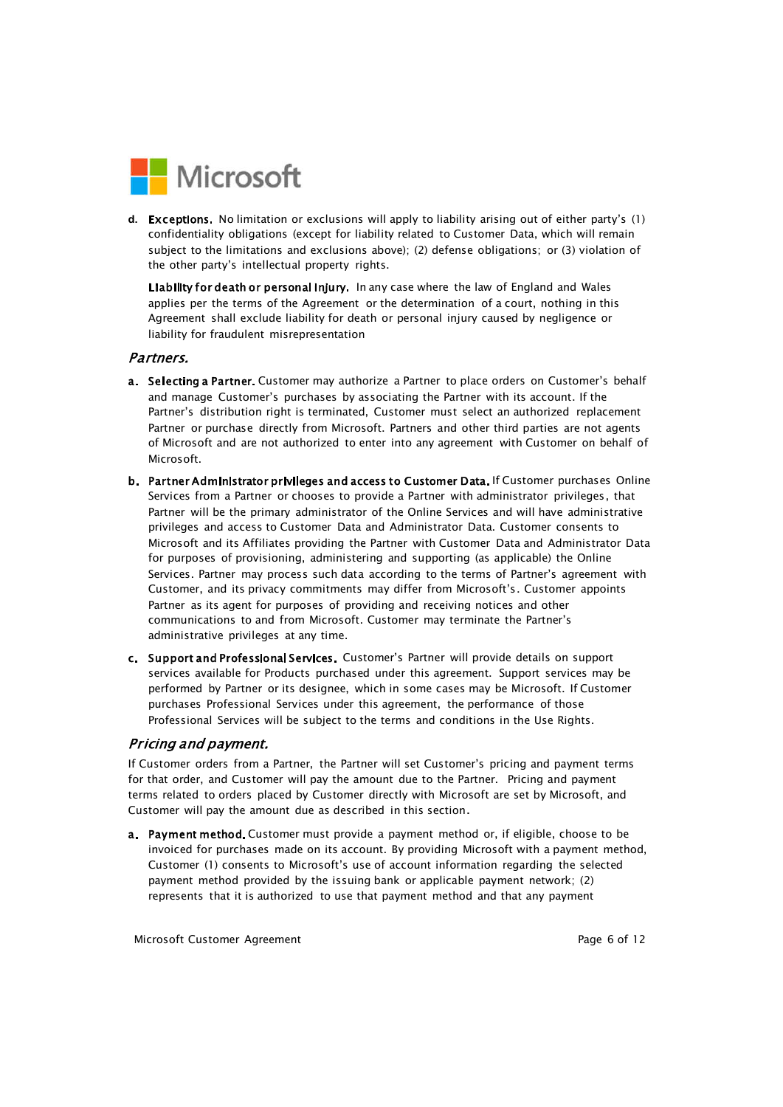

d. Exceptions. No limitation or exclusions will apply to liability arising out of either party's (1) confidentiality obligations (except for liability related to Customer Data, which will remain subject to the limitations and exclusions above); (2) defense obligations; or (3) violation of the other party's intellectual property rights.

Liability for death or personal injury. In any case where the law of England and Wales applies per the terms of the Agreement or the determination of a court, nothing in this Agreement shall exclude liability for death or personal injury caused by negligence or liability for fraudulent misrepresentation

#### Partners.

- a. Selecting a Partner. Customer may authorize a Partner to place orders on Customer's behalf and manage Customer's purchases by associating the Partner with its account. If the Partner's distribution right is terminated, Customer must select an authorized replacement Partner or purchase directly from Microsoft. Partners and other third parties are not agents of Microsoft and are not authorized to enter into any agreement with Customer on behalf of Microsoft.
- b. Partner Administrator privileges and access to Customer Data. If Customer purchases Online Services from a Partner or chooses to provide a Partner with administrator privileges, that Partner will be the primary administrator of the Online Services and will have administrative privileges and access to Customer Data and Administrator Data. Customer consents to Microsoft and its Affiliates providing the Partner with Customer Data and Administrator Data for purposes of provisioning, administering and supporting (as applicable) the Online Services. Partner may process such data according to the terms of Partner's agreement with Customer, and its privacy commitments may differ from Microsoft's. Customer appoints Partner as its agent for purposes of providing and receiving notices and other communications to and from Microsoft. Customer may terminate the Partner's administrative privileges at any time.
- c. Support and Professional Services. Customer's Partner will provide details on support services available for Products purchased under this agreement. Support services may be performed by Partner or its designee, which in some cases may be Microsoft. If Customer purchases Professional Services under this agreement, the performance of those Professional Services will be subject to the terms and conditions in the Use Rights.

#### Pricing and payment.

If Customer orders from a Partner, the Partner will set Customer's pricing and payment terms for that order, and Customer will pay the amount due to the Partner. Pricing and payment terms related to orders placed by Customer directly with Microsoft are set by Microsoft, and Customer will pay the amount due as described in this section.

a. Payment method. Customer must provide a payment method or, if eligible, choose to be invoiced for purchases made on its account. By providing Microsoft with a payment method, Customer (1) consents to Microsoft's use of account information regarding the selected payment method provided by the issuing bank or applicable payment network; (2) represents that it is authorized to use that payment method and that any payment

Microsoft Customer Agreement **Page 6 of 12** and Page 6 of 12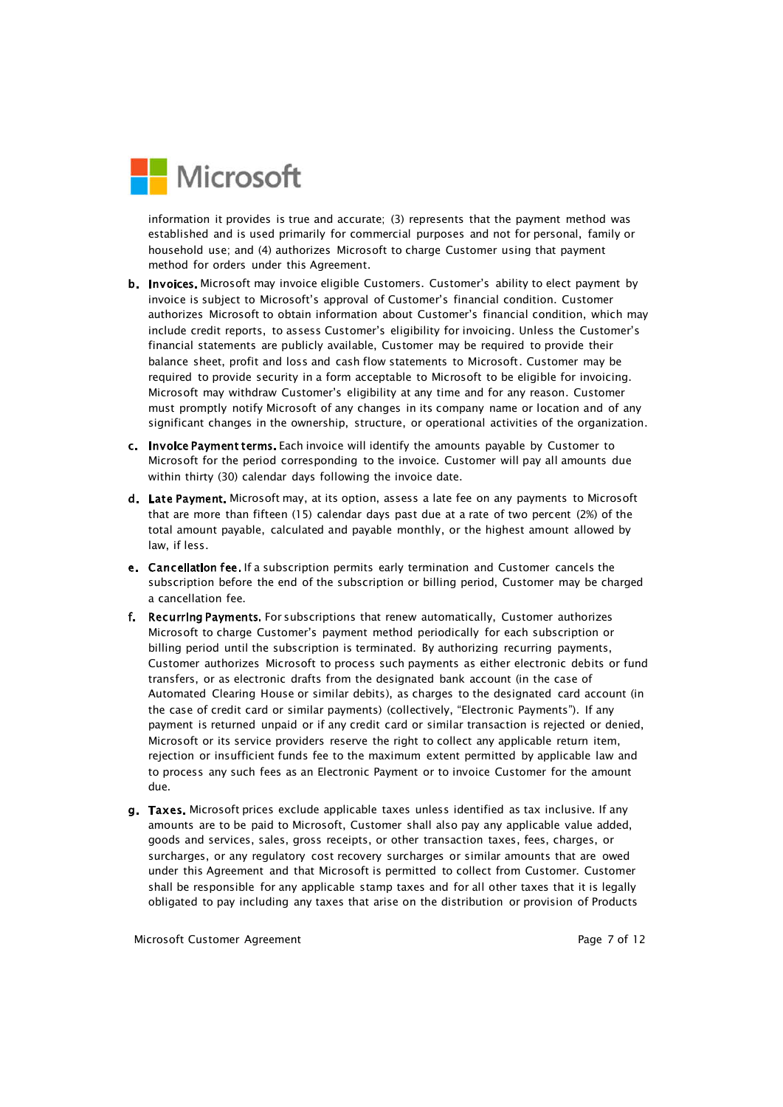

information it provides is true and accurate; (3) represents that the payment method was established and is used primarily for commercial purposes and not for personal, family or household use; and (4) authorizes Microsoft to charge Customer using that payment method for orders under this Agreement.

- b. Invoices. Microsoft may invoice eligible Customers. Customer's ability to elect payment by invoice is subject to Microsoft's approval of Customer's financial condition. Customer authorizes Microsoft to obtain information about Customer's financial condition, which may include credit reports, to assess Customer's eligibility for invoicing. Unless the Customer's financial statements are publicly available, Customer may be required to provide their balance sheet, profit and loss and cash flow statements to Microsoft. Customer may be required to provide security in a form acceptable to Microsoft to be eligible for invoicing. Microsoft may withdraw Customer's eligibility at any time and for any reason. Customer must promptly notify Microsoft of any changes in its company name or location and of any significant changes in the ownership, structure, or operational activities of the organization.
- c. Invoice Payment terms. Each invoice will identify the amounts payable by Customer to Microsoft for the period corresponding to the invoice. Customer will pay all amounts due within thirty (30) calendar days following the invoice date.
- d. Late Payment. Microsoft may, at its option, assess a late fee on any payments to Microsoft that are more than fifteen (15) calendar days past due at a rate of two percent (2%) of the total amount payable, calculated and payable monthly, or the highest amount allowed by law, if less.
- e. Cancellation fee. If a subscription permits early termination and Customer cancels the subscription before the end of the subscription or billing period, Customer may be charged a cancellation fee.
- f. Recurring Payments. For subscriptions that renew automatically, Customer authorizes Microsoft to charge Customer's payment method periodically for each subscription or billing period until the subscription is terminated. By authorizing recurring payments, Customer authorizes Microsoft to process such payments as either electronic debits or fund transfers, or as electronic drafts from the designated bank account (in the case of Automated Clearing House or similar debits), as charges to the designated card account (in the case of credit card or similar payments) (collectively, "Electronic Payments"). If any payment is returned unpaid or if any credit card or similar transaction is rejected or denied, Microsoft or its service providers reserve the right to collect any applicable return item, rejection or insufficient funds fee to the maximum extent permitted by applicable law and to process any such fees as an Electronic Payment or to invoice Customer for the amount due.
- g. Taxes. Microsoft prices exclude applicable taxes unless identified as tax inclusive. If any amounts are to be paid to Microsoft, Customer shall also pay any applicable value added, goods and services, sales, gross receipts, or other transaction taxes, fees, charges, or surcharges, or any regulatory cost recovery surcharges or similar amounts that are owed under this Agreement and that Microsoft is permitted to collect from Customer. Customer shall be responsible for any applicable stamp taxes and for all other taxes that it is legally obligated to pay including any taxes that arise on the distribution or provision of Products

Microsoft Customer Agreement **Page 7 of 12** and 20 and 20 and 20 and 20 and 20 and 20 and 20 and 20 and 20 and 20 and 20 and 20 and 20 and 20 and 20 and 20 and 20 and 20 and 20 and 20 and 20 and 20 and 20 and 20 and 20 and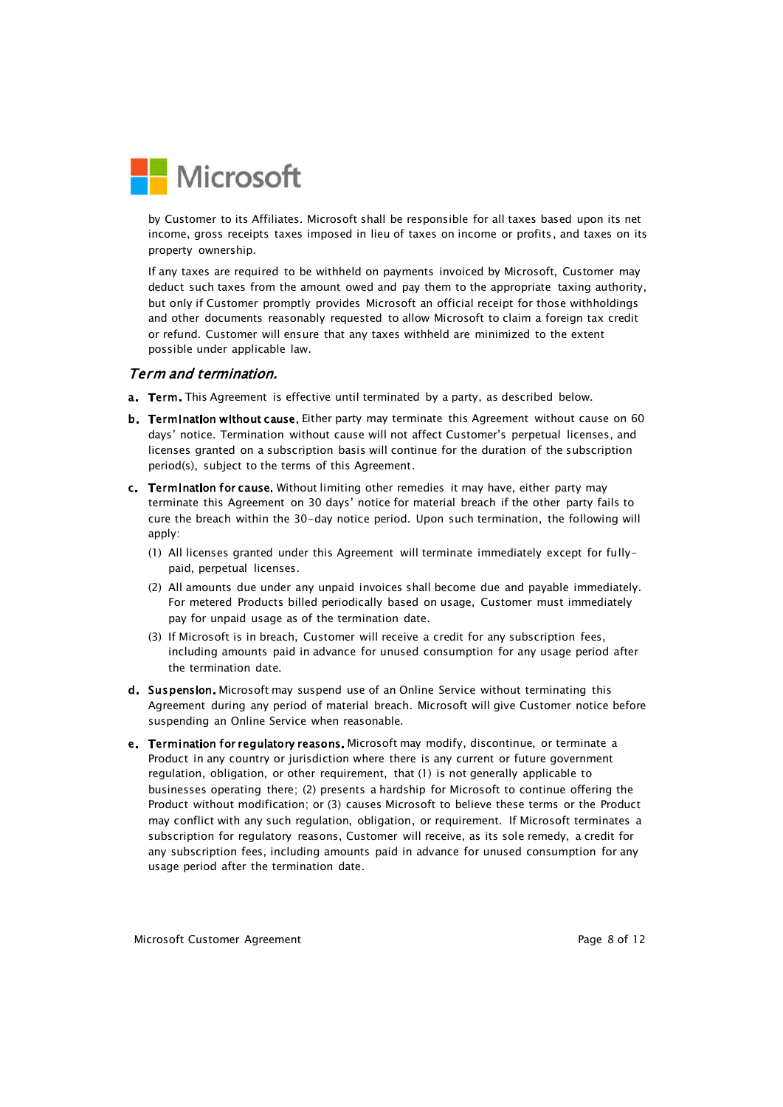

by Customer to its Affiliates. Microsoft shall be responsible for all taxes based upon its net income, gross receipts taxes imposed in lieu of taxes on income or profits, and taxes on its property ownership.

If any taxes are required to be withheld on payments invoiced by Microsoft, Customer may deduct such taxes from the amount owed and pay them to the appropriate taxing authority, but only if Customer promptly provides Microsoft an official receipt for those withholdings and other documents reasonably requested to allow Microsoft to claim a foreign tax credit or refund. Customer will ensure that any taxes withheld are minimized to the extent possible under applicable law.

#### Term and termination.

- a. Term. This Agreement is effective until terminated by a party, as described below.
- b. Termination without cause. Either party may terminate this Agreement without cause on 60 days' notice. Termination without cause will not affect Customer's perpetual licenses, and licenses granted on a subscription basis will continue for the duration of the subscription period(s), subject to the terms of this Agreement.
- c. Termination for cause. Without limiting other remedies it may have, either party may terminate this Agreement on 30 days' notice for material breach if the other party fails to cure the breach within the 30-day notice period. Upon such termination, the following will apply:
	- (1) All licenses granted under this Agreement will terminate immediately except for fullypaid, perpetual licenses.
	- (2) All amounts due under any unpaid invoices shall become due and payable immediately. For metered Products billed periodically based on usage, Customer must immediately pay for unpaid usage as of the termination date.
	- (3) If Microsoft is in breach, Customer will receive a credit for any subscription fees, including amounts paid in advance for unused consumption for any usage period after the termination date.
- d. Suspension. Microsoft may suspend use of an Online Service without terminating this Agreement during any period of material breach. Microsoft will give Customer notice before suspending an Online Service when reasonable.
- e. Termination for regulatory reasons. Microsoft may modify, discontinue, or terminate a Product in any country or jurisdiction where there is any current or future government regulation, obligation, or other requirement, that (1) is not generally applicable to businesses operating there; (2) presents a hardship for Microsoft to continue offering the Product without modification; or (3) causes Microsoft to believe these terms or the Product may conflict with any such regulation, obligation, or requirement. If Microsoft terminates a subscription for regulatory reasons, Customer will receive, as its sole remedy, a credit for any subscription fees, including amounts paid in advance for unused consumption for any usage period after the termination date.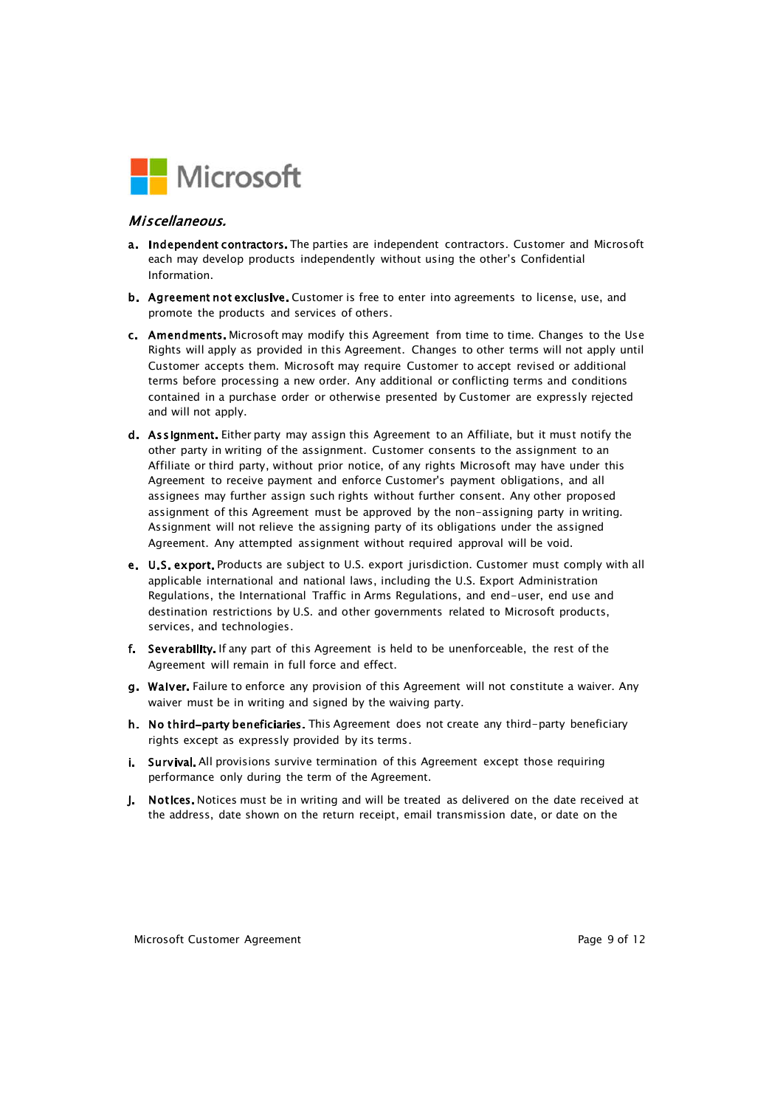

#### Miscellaneous.

- a. Independent contractors. The parties are independent contractors. Customer and Microsoft each may develop products independently without using the other's Confidential Information.
- b. Agreement not exclusive. Customer is free to enter into agreements to license, use, and promote the products and services of others.
- c. Amendments. Microsoft may modify this Agreement from time to time. Changes to the Use Rights will apply as provided in this Agreement. Changes to other terms will not apply until Customer accepts them. Microsoft may require Customer to accept revised or additional terms before processing a new order. Any additional or conflicting terms and conditions contained in a purchase order or otherwise presented by Customer are expressly rejected and will not apply.
- d. Assignment. Either party may assign this Agreement to an Affiliate, but it must notify the other party in writing of the assignment. Customer consents to the assignment to an Affiliate or third party, without prior notice, of any rights Microsoft may have under this Agreement to receive payment and enforce Customer's payment obligations, and all assignees may further assign such rights without further consent. Any other proposed assignment of this Agreement must be approved by the non-assigning party in writing. Assignment will not relieve the assigning party of its obligations under the assigned Agreement. Any attempted assignment without required approval will be void.
- e. U.S. export. Products are subject to U.S. export jurisdiction. Customer must comply with all applicable international and national laws, including the U.S. Export Administration Regulations, the International Traffic in Arms Regulations, and end-user, end use and destination restrictions by U.S. and other governments related to Microsoft products, services, and technologies.
- f. Severability. If any part of this Agreement is held to be unenforceable, the rest of the Agreement will remain in full force and effect.
- g. Waiver, Failure to enforce any provision of this Agreement will not constitute a waiver. Any waiver must be in writing and signed by the waiving party.
- h. No third-party beneficiaries. This Agreement does not create any third-party beneficiary rights except as expressly provided by its terms.
- i. Survival. All provisions survive termination of this Agreement except those requiring performance only during the term of the Agreement.
- **i.** Notices. Notices must be in writing and will be treated as delivered on the date received at the address, date shown on the return receipt, email transmission date, or date on the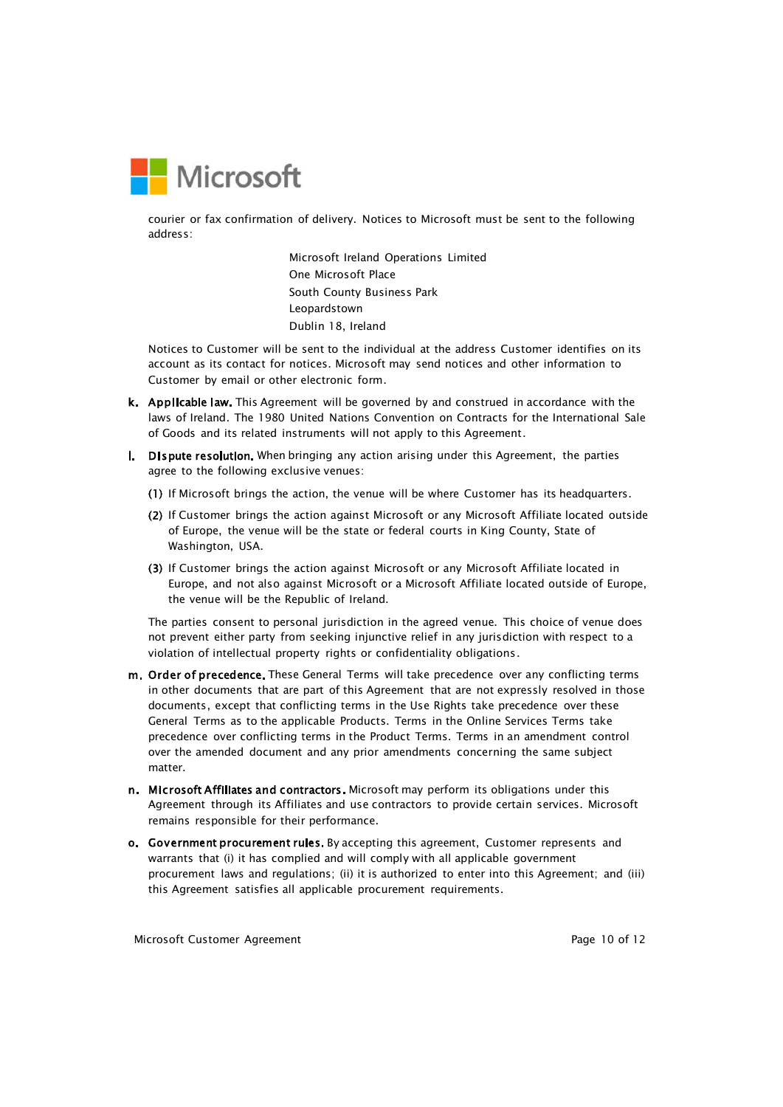

courier or fax confirmation of delivery. Notices to Microsoft must be sent to the following address:

> Microsoft Ireland Operations Limited One Microsoft Place South County Business Park Leopardstown Dublin 18, Ireland

Notices to Customer will be sent to the individual at the address Customer identifies on its account as its contact for notices. Microsoft may send notices and other information to Customer by email or other electronic form.

- k. Applicable law. This Agreement will be governed by and construed in accordance with the laws of Ireland. The 1980 United Nations Convention on Contracts for the International Sale of Goods and its related instruments will not apply to this Agreement.
- I. Dispute resolution. When bringing any action arising under this Agreement, the parties agree to the following exclusive venues:
	- (1) If Microsoft brings the action, the venue will be where Customer has its headquarters.
	- (2) If Customer brings the action against Microsoft or any Microsoft Affiliate located outside of Europe, the venue will be the state or federal courts in King County, State of Washington, USA.
	- (3) If Customer brings the action against Microsoft or any Microsoft Affiliate located in Europe, and not also against Microsoft or a Microsoft Affiliate located outside of Europe, the venue will be the Republic of Ireland.

The parties consent to personal jurisdiction in the agreed venue. This choice of venue does not prevent either party from seeking injunctive relief in any jurisdiction with respect to a violation of intellectual property rights or confidentiality obligations.

- m. Order of precedence. These General Terms will take precedence over any conflicting terms in other documents that are part of this Agreement that are not expressly resolved in those documents, except that conflicting terms in the Use Rights take precedence over these General Terms as to the applicable Products. Terms in the Online Services Terms take precedence over conflicting terms in the Product Terms. Terms in an amendment control over the amended document and any prior amendments concerning the same subject matter.
- n. Microsoft Affiliates and contractors. Microsoft may perform its obligations under this Agreement through its Affiliates and use contractors to provide certain services. Microsoft remains responsible for their performance.
- o. Government procurement rules. By accepting this agreement, Customer represents and warrants that (i) it has complied and will comply with all applicable government procurement laws and regulations; (ii) it is authorized to enter into this Agreement; and (iii) this Agreement satisfies all applicable procurement requirements.

Microsoft Customer Agreement **Page 10 of 12** and 20 and 20 and 20 and 20 and 20 and 20 and 20 and 20 and 20 and 20 and 20 and 20 and 20 and 20 and 20 and 20 and 20 and 20 and 20 and 20 and 20 and 20 and 20 and 20 and 20 an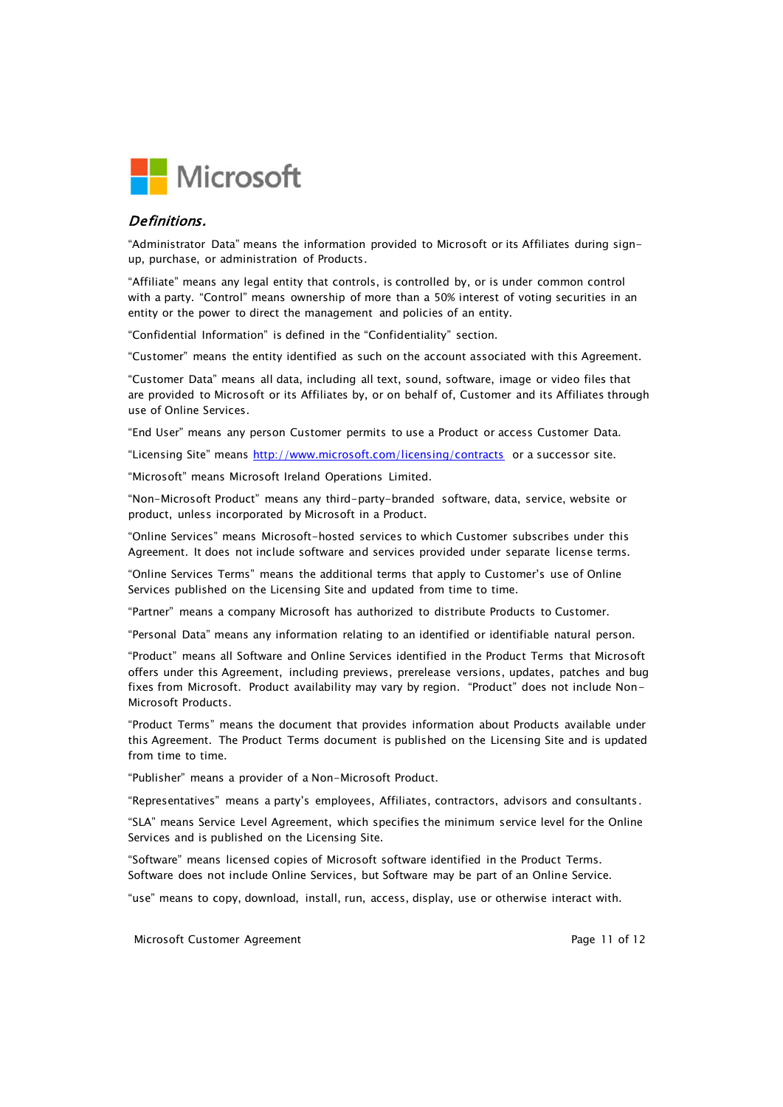

#### Definitions.

"Administrator Data" means the information provided to Microsoft or its Affiliates during signup, purchase, or administration of Products.

"Affiliate" means any legal entity that controls, is controlled by, or is under common control with a party. "Control" means ownership of more than a 50% interest of voting securities in an entity or the power to direct the management and policies of an entity.

"Confidential Information" is defined in the "Confidentiality" section.

"Customer" means the entity identified as such on the account associated with this Agreement.

"Customer Data" means all data, including all text, sound, software, image or video files that are provided to Microsoft or its Affiliates by, or on behalf of, Customer and its Affiliates through use of Online Services.

"End User" means any person Customer permits to use a Product or access Customer Data.

"Licensing Site" means http://www.microsoft.com/licensing/contracts or a successor site.

"Microsoft" means Microsoft Ireland Operations Limited.

"Non-Microsoft Product" means any third-party-branded software, data, service, website or product, unless incorporated by Microsoft in a Product.

"Online Services" means Microsoft-hosted services to which Customer subscribes under this Agreement. It does not include software and services provided under separate license terms.

"Online Services Terms" means the additional terms that apply to Customer's use of Online Services published on the Licensing Site and updated from time to time.

"Partner" means a company Microsoft has authorized to distribute Products to Customer.

"Personal Data" means any information relating to an identified or identifiable natural person.

"Product" means all Software and Online Services identified in the Product Terms that Microsoft offers under this Agreement, including previews, prerelease versions, updates, patches and bug fixes from Microsoft. Product availability may vary by region. "Product" does not include Non-Microsoft Products.

"Product Terms" means the document that provides information about Products available under this Agreement. The Product Terms document is published on the Licensing Site and is updated from time to time.

"Publisher" means a provider of a Non-Microsoft Product.

"Representatives" means a party's employees, Affiliates, contractors, advisors and consultants.

"SLA" means Service Level Agreement, which specifies the minimum service level for the Online Services and is published on the Licensing Site.

"Software" means licensed copies of Microsoft software identified in the Product Terms. Software does not include Online Services, but Software may be part of an Online Service.

"use" means to copy, download, install, run, access, display, use or otherwise interact with.

Microsoft Customer Agreement **Page 11 of 12** and 22 and 22 and 23 and 23 and 23 and 24 and 25 and 26 and 26 and 26 and 26 and 26 and 26 and 26 and 26 and 26 and 26 and 26 and 26 and 26 and 26 and 26 and 26 and 26 and 26 an